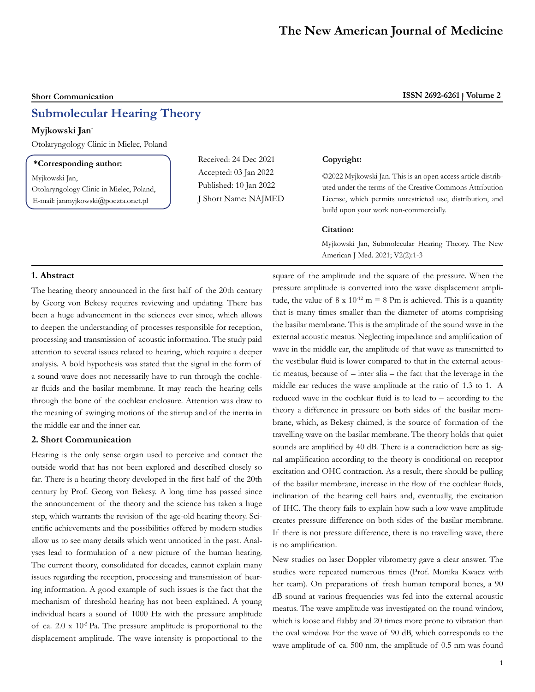# **Submolecular Hearing Theory**

## **Myjkowski Jan**\*

Otolaryngology Clinic in Mielec, Poland

# **\*Corresponding author:**

Myjkowski Jan,

Otolaryngology Clinic in Mielec, Poland, E-mail: janmyjkowski@poczta.onet.pl

Received: 24 Dec 2021 Accepted: 03 Jan 2022 Published: 10 Jan 2022 J Short Name: NAJMED

## **Copyright:**

©2022 Myjkowski Jan. This is an open access article distributed under the terms of the Creative Commons Attribution License, which permits unrestricted use, distribution, and build upon your work non-commercially.

#### **Citation:**

Myjkowski Jan, Submolecular Hearing Theory. The New American J Med. 2021; V2(2):1-3

#### **1. Abstract**

The hearing theory announced in the first half of the 20th century by Georg von Bekesy requires reviewing and updating. There has been a huge advancement in the sciences ever since, which allows to deepen the understanding of processes responsible for reception, processing and transmission of acoustic information. The study paid attention to several issues related to hearing, which require a deeper analysis. A bold hypothesis was stated that the signal in the form of a sound wave does not necessarily have to run through the cochlear fluids and the basilar membrane. It may reach the hearing cells through the bone of the cochlear enclosure. Attention was draw to the meaning of swinging motions of the stirrup and of the inertia in the middle ear and the inner ear.

#### **2. Short Communication**

Hearing is the only sense organ used to perceive and contact the outside world that has not been explored and described closely so far. There is a hearing theory developed in the first half of the 20th century by Prof. Georg von Bekesy. A long time has passed since the announcement of the theory and the science has taken a huge step, which warrants the revision of the age-old hearing theory. Scientific achievements and the possibilities offered by modern studies allow us to see many details which went unnoticed in the past. Analyses lead to formulation of a new picture of the human hearing. The current theory, consolidated for decades, cannot explain many issues regarding the reception, processing and transmission of hearing information. A good example of such issues is the fact that the mechanism of threshold hearing has not been explained. A young individual hears a sound of 1000 Hz with the pressure amplitude of ca.  $2.0 \times 10^{-5}$  Pa. The pressure amplitude is proportional to the displacement amplitude. The wave intensity is proportional to the square of the amplitude and the square of the pressure. When the pressure amplitude is converted into the wave displacement amplitude, the value of  $8 \times 10^{-12}$  m = 8 Pm is achieved. This is a quantity that is many times smaller than the diameter of atoms comprising the basilar membrane. This is the amplitude of the sound wave in the external acoustic meatus. Neglecting impedance and amplification of wave in the middle ear, the amplitude of that wave as transmitted to the vestibular fluid is lower compared to that in the external acoustic meatus, because of – inter alia – the fact that the leverage in the middle ear reduces the wave amplitude at the ratio of 1.3 to 1. A reduced wave in the cochlear fluid is to lead to – according to the theory a difference in pressure on both sides of the basilar membrane, which, as Bekesy claimed, is the source of formation of the travelling wave on the basilar membrane. The theory holds that quiet sounds are amplified by 40 dB. There is a contradiction here as signal amplification according to the theory is conditional on receptor excitation and OHC contraction. As a result, there should be pulling of the basilar membrane, increase in the flow of the cochlear fluids, inclination of the hearing cell hairs and, eventually, the excitation of IHC. The theory fails to explain how such a low wave amplitude creates pressure difference on both sides of the basilar membrane. If there is not pressure difference, there is no travelling wave, there is no amplification.

New studies on laser Doppler vibrometry gave a clear answer. The studies were repeated numerous times (Prof. Monika Kwacz with her team). On preparations of fresh human temporal bones, a 90 dB sound at various frequencies was fed into the external acoustic meatus. The wave amplitude was investigated on the round window, which is loose and flabby and 20 times more prone to vibration than the oval window. For the wave of 90 dB, which corresponds to the wave amplitude of ca. 500 nm, the amplitude of 0.5 nm was found

# **Short Communication ISSN 2692-6261 Volume 2**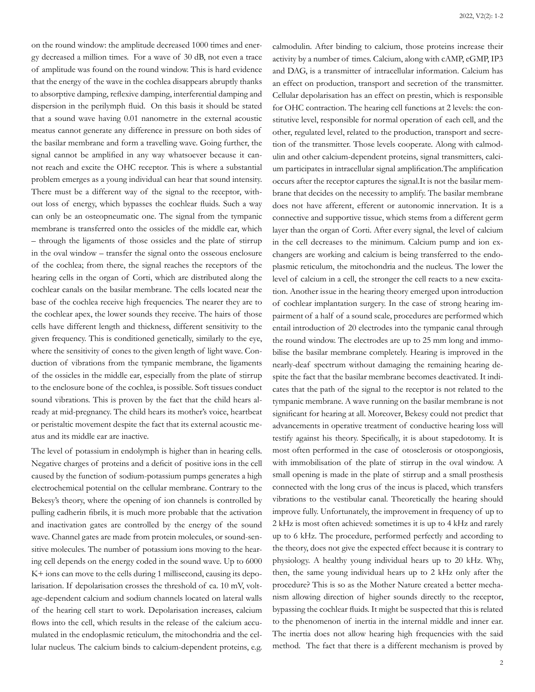on the round window: the amplitude decreased 1000 times and energy decreased a million times. For a wave of 30 dB, not even a trace of amplitude was found on the round window. This is hard evidence that the energy of the wave in the cochlea disappears abruptly thanks to absorptive damping, reflexive damping, interferential damping and dispersion in the perilymph fluid. On this basis it should be stated that a sound wave having 0.01 nanometre in the external acoustic meatus cannot generate any difference in pressure on both sides of the basilar membrane and form a travelling wave. Going further, the signal cannot be amplified in any way whatsoever because it cannot reach and excite the OHC receptor. This is where a substantial problem emerges as a young individual can hear that sound intensity. There must be a different way of the signal to the receptor, without loss of energy, which bypasses the cochlear fluids. Such a way can only be an osteopneumatic one. The signal from the tympanic membrane is transferred onto the ossicles of the middle ear, which – through the ligaments of those ossicles and the plate of stirrup in the oval window – transfer the signal onto the osseous enclosure of the cochlea; from there, the signal reaches the receptors of the hearing cells in the organ of Corti, which are distributed along the cochlear canals on the basilar membrane. The cells located near the base of the cochlea receive high frequencies. The nearer they are to the cochlear apex, the lower sounds they receive. The hairs of those cells have different length and thickness, different sensitivity to the given frequency. This is conditioned genetically, similarly to the eye, where the sensitivity of cones to the given length of light wave. Conduction of vibrations from the tympanic membrane, the ligaments of the ossicles in the middle ear, especially from the plate of stirrup to the enclosure bone of the cochlea, is possible. Soft tissues conduct sound vibrations. This is proven by the fact that the child hears already at mid-pregnancy. The child hears its mother's voice, heartbeat or peristaltic movement despite the fact that its external acoustic meatus and its middle ear are inactive.

The level of potassium in endolymph is higher than in hearing cells. Negative charges of proteins and a deficit of positive ions in the cell caused by the function of sodium-potassium pumps generates a high electrochemical potential on the cellular membrane. Contrary to the Bekesy's theory, where the opening of ion channels is controlled by pulling cadherin fibrils, it is much more probable that the activation and inactivation gates are controlled by the energy of the sound wave. Channel gates are made from protein molecules, or sound-sensitive molecules. The number of potassium ions moving to the hearing cell depends on the energy coded in the sound wave. Up to 6000 K+ ions can move to the cells during 1 millisecond, causing its depolarisation. If depolarisation crosses the threshold of ca. 10 mV, voltage-dependent calcium and sodium channels located on lateral walls of the hearing cell start to work. Depolarisation increases, calcium flows into the cell, which results in the release of the calcium accumulated in the endoplasmic reticulum, the mitochondria and the cellular nucleus. The calcium binds to calcium-dependent proteins, e.g.

calmodulin. After binding to calcium, those proteins increase their activity by a number of times. Calcium, along with cAMP, cGMP, IP3 and DAG, is a transmitter of intracellular information. Calcium has an effect on production, transport and secretion of the transmitter. Cellular depolarisation has an effect on prestin, which is responsible for OHC contraction. The hearing cell functions at 2 levels: the constitutive level, responsible for normal operation of each cell, and the other, regulated level, related to the production, transport and secretion of the transmitter. Those levels cooperate. Along with calmodulin and other calcium-dependent proteins, signal transmitters, calcium participates in intracellular signal amplification.The amplification occurs after the receptor captures the signal.It is not the basilar membrane that decides on the necessity to amplify. The basilar membrane does not have afferent, efferent or autonomic innervation. It is a connective and supportive tissue, which stems from a different germ layer than the organ of Corti. After every signal, the level of calcium in the cell decreases to the minimum. Calcium pump and ion exchangers are working and calcium is being transferred to the endoplasmic reticulum, the mitochondria and the nucleus. The lower the level of calcium in a cell, the stronger the cell reacts to a new excitation. Another issue in the hearing theory emerged upon introduction of cochlear implantation surgery. In the case of strong hearing impairment of a half of a sound scale, procedures are performed which entail introduction of 20 electrodes into the tympanic canal through the round window. The electrodes are up to 25 mm long and immobilise the basilar membrane completely. Hearing is improved in the nearly-deaf spectrum without damaging the remaining hearing despite the fact that the basilar membrane becomes deactivated. It indicates that the path of the signal to the receptor is not related to the tympanic membrane. A wave running on the basilar membrane is not significant for hearing at all. Moreover, Bekesy could not predict that advancements in operative treatment of conductive hearing loss will testify against his theory. Specifically, it is about stapedotomy. It is most often performed in the case of otosclerosis or otospongiosis, with immobilisation of the plate of stirrup in the oval window. A small opening is made in the plate of stirrup and a small prosthesis connected with the long crus of the incus is placed, which transfers vibrations to the vestibular canal. Theoretically the hearing should improve fully. Unfortunately, the improvement in frequency of up to 2 kHz is most often achieved: sometimes it is up to 4 kHz and rarely up to 6 kHz. The procedure, performed perfectly and according to the theory, does not give the expected effect because it is contrary to physiology. A healthy young individual hears up to 20 kHz. Why, then, the same young individual hears up to 2 kHz only after the procedure? This is so as the Mother Nature created a better mechanism allowing direction of higher sounds directly to the receptor, bypassing the cochlear fluids. It might be suspected that this is related to the phenomenon of inertia in the internal middle and inner ear. The inertia does not allow hearing high frequencies with the said method. The fact that there is a different mechanism is proved by